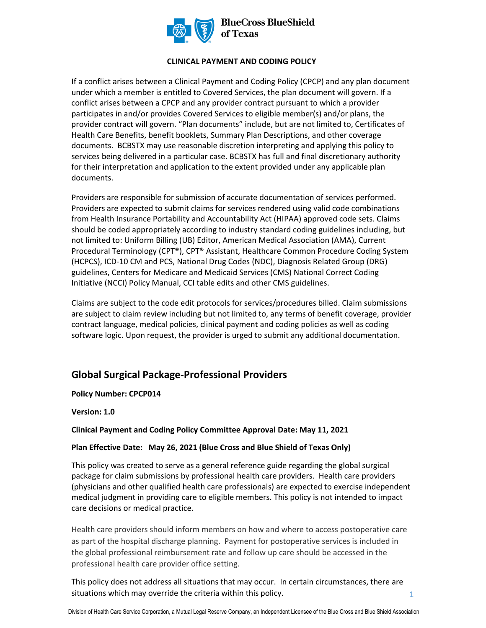

#### **CLINICAL PAYMENT AND CODING POLICY**

If a conflict arises between a Clinical Payment and Coding Policy (CPCP) and any plan document under which a member is entitled to Covered Services, the plan document will govern. If a conflict arises between a CPCP and any provider contract pursuant to which a provider participates in and/or provides Covered Services to eligible member(s) and/or plans, the provider contract will govern. "Plan documents" include, but are not limited to, Certificates of Health Care Benefits, benefit booklets, Summary Plan Descriptions, and other coverage documents. BCBSTX may use reasonable discretion interpreting and applying this policy to services being delivered in a particular case. BCBSTX has full and final discretionary authority for their interpretation and application to the extent provided under any applicable plan documents.

Providers are responsible for submission of accurate documentation of services performed. Providers are expected to submit claims for services rendered using valid code combinations from Health Insurance Portability and Accountability Act (HIPAA) approved code sets. Claims should be coded appropriately according to industry standard coding guidelines including, but not limited to: Uniform Billing (UB) Editor, American Medical Association (AMA), Current Procedural Terminology (CPT®), CPT® Assistant, Healthcare Common Procedure Coding System (HCPCS), ICD-10 CM and PCS, National Drug Codes (NDC), Diagnosis Related Group (DRG) guidelines, Centers for Medicare and Medicaid Services (CMS) National Correct Coding Initiative (NCCI) Policy Manual, CCI table edits and other CMS guidelines.

Claims are subject to the code edit protocols for services/procedures billed. Claim submissions are subject to claim review including but not limited to, any terms of benefit coverage, provider contract language, medical policies, clinical payment and coding policies as well as coding software logic. Upon request, the provider is urged to submit any additional documentation.

# **Global Surgical Package-Professional Providers**

#### **Policy Number: CPCP014**

**Version: 1.0** 

### **Clinical Payment and Coding Policy Committee Approval Date: May 11, 2021**

### **Plan Effective Date: May 26, 2021 (Blue Cross and Blue Shield of Texas Only)**

This policy was created to serve as a general reference guide regarding the global surgical package for claim submissions by professional health care providers. Health care providers (physicians and other qualified health care professionals) are expected to exercise independent medical judgment in providing care to eligible members. This policy is not intended to impact care decisions or medical practice.

Health care providers should inform members on how and where to access postoperative care as part of the hospital discharge planning. Payment for postoperative services is included in the global professional reimbursement rate and follow up care should be accessed in the professional health care provider office setting.

This policy does not address all situations that may occur. In certain circumstances, there are situations which may override the criteria within this policy.

1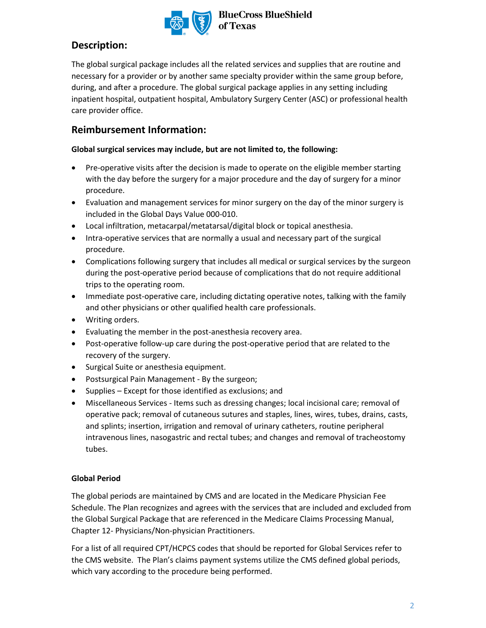

# **Description:**

The global surgical package includes all the related services and supplies that are routine and necessary for a provider or by another same specialty provider within the same group before, during, and after a procedure. The global surgical package applies in any setting including inpatient hospital, outpatient hospital, Ambulatory Surgery Center (ASC) or professional health care provider office.

## **Reimbursement Information:**

## **Global surgical services may include, but are not limited to, the following:**

- Pre-operative visits after the decision is made to operate on the eligible member starting with the day before the surgery for a major procedure and the day of surgery for a minor procedure.
- Evaluation and management services for minor surgery on the day of the minor surgery is included in the Global Days Value 000-010.
- Local infiltration, metacarpal/metatarsal/digital block or topical anesthesia.
- Intra-operative services that are normally a usual and necessary part of the surgical procedure.
- Complications following surgery that includes all medical or surgical services by the surgeon during the post-operative period because of complications that do not require additional trips to the operating room.
- Immediate post-operative care, including dictating operative notes, talking with the family and other physicians or other qualified health care professionals.
- Writing orders.
- Evaluating the member in the post-anesthesia recovery area.
- Post-operative follow-up care during the post-operative period that are related to the recovery of the surgery.
- Surgical Suite or anesthesia equipment.
- Postsurgical Pain Management By the surgeon;
- Supplies Except for those identified as exclusions; and
- Miscellaneous Services Items such as dressing changes; local incisional care; removal of operative pack; removal of cutaneous sutures and staples, lines, wires, tubes, drains, casts, and splints; insertion, irrigation and removal of urinary catheters, routine peripheral intravenous lines, nasogastric and rectal tubes; and changes and removal of tracheostomy tubes.

### **Global Period**

The global periods are maintained by CMS and are located in the Medicare Physician Fee Schedule. The Plan recognizes and agrees with the services that are included and excluded from the Global Surgical Package that are referenced in the Medicare Claims Processing Manual, Chapter 12- Physicians/Non-physician Practitioners.

For a list of all required CPT/HCPCS codes that should be reported for Global Services refer to the CMS website. The Plan's claims payment systems utilize the CMS defined global periods, which vary according to the procedure being performed.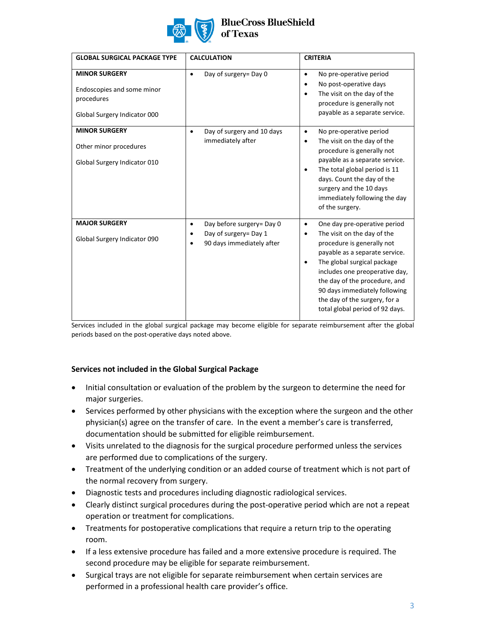

### **BlueCross BlueShield** of Texas

| <b>GLOBAL SURGICAL PACKAGE TYPE</b>                                                              | <b>CALCULATION</b>                                                                           | <b>CRITERIA</b>                                                                                                                                                                                                                                                                                                                                      |
|--------------------------------------------------------------------------------------------------|----------------------------------------------------------------------------------------------|------------------------------------------------------------------------------------------------------------------------------------------------------------------------------------------------------------------------------------------------------------------------------------------------------------------------------------------------------|
|                                                                                                  |                                                                                              |                                                                                                                                                                                                                                                                                                                                                      |
| <b>MINOR SURGERY</b><br>Endoscopies and some minor<br>procedures<br>Global Surgery Indicator 000 | Day of surgery= Day 0<br>$\bullet$                                                           | No pre-operative period<br>$\bullet$<br>No post-operative days<br>٠<br>The visit on the day of the<br>٠<br>procedure is generally not<br>payable as a separate service.                                                                                                                                                                              |
| <b>MINOR SURGERY</b><br>Other minor procedures<br>Global Surgery Indicator 010                   | Day of surgery and 10 days<br>$\bullet$<br>immediately after                                 | No pre-operative period<br>$\bullet$<br>The visit on the day of the<br>$\bullet$<br>procedure is generally not<br>payable as a separate service.<br>The total global period is 11<br>$\bullet$<br>days. Count the day of the<br>surgery and the 10 days<br>immediately following the day<br>of the surgery.                                          |
| <b>MAJOR SURGERY</b><br>Global Surgery Indicator 090                                             | Day before surgery= Day 0<br>$\bullet$<br>Day of surgery= Day 1<br>90 days immediately after | One day pre-operative period<br>$\bullet$<br>The visit on the day of the<br>٠<br>procedure is generally not<br>payable as a separate service.<br>The global surgical package<br>includes one preoperative day,<br>the day of the procedure, and<br>90 days immediately following<br>the day of the surgery, for a<br>total global period of 92 days. |

Services included in the global surgical package may become eligible for separate reimbursement after the global periods based on the post-operative days noted above.

#### **Services not included in the Global Surgical Package**

- Initial consultation or evaluation of the problem by the surgeon to determine the need for major surgeries.
- Services performed by other physicians with the exception where the surgeon and the other physician(s) agree on the transfer of care. In the event a member's care is transferred, documentation should be submitted for eligible reimbursement.
- Visits unrelated to the diagnosis for the surgical procedure performed unless the services are performed due to complications of the surgery.
- Treatment of the underlying condition or an added course of treatment which is not part of the normal recovery from surgery.
- Diagnostic tests and procedures including diagnostic radiological services.
- Clearly distinct surgical procedures during the post-operative period which are not a repeat operation or treatment for complications.
- Treatments for postoperative complications that require a return trip to the operating room.
- If a less extensive procedure has failed and a more extensive procedure is required. The second procedure may be eligible for separate reimbursement.
- Surgical trays are not eligible for separate reimbursement when certain services are performed in a professional health care provider's office.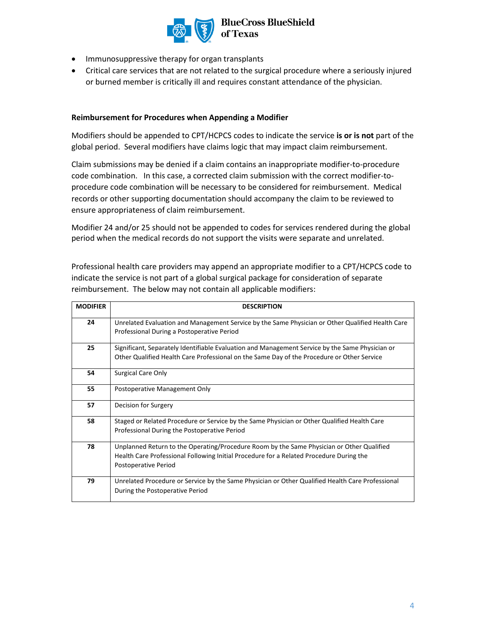

- Immunosuppressive therapy for organ transplants
- Critical care services that are not related to the surgical procedure where a seriously injured or burned member is critically ill and requires constant attendance of the physician.

#### **Reimbursement for Procedures when Appending a Modifier**

Modifiers should be appended to CPT/HCPCS codes to indicate the service **is or is not** part of the global period. Several modifiers have claims logic that may impact claim reimbursement.

Claim submissions may be denied if a claim contains an inappropriate modifier-to-procedure code combination. In this case, a corrected claim submission with the correct modifier-toprocedure code combination will be necessary to be considered for reimbursement. Medical records or other supporting documentation should accompany the claim to be reviewed to ensure appropriateness of claim reimbursement.

Modifier 24 and/or 25 should not be appended to codes for services rendered during the global period when the medical records do not support the visits were separate and unrelated.

Professional health care providers may append an appropriate modifier to a CPT/HCPCS code to indicate the service is not part of a global surgical package for consideration of separate reimbursement. The below may not contain all applicable modifiers:

| <b>MODIFIER</b> | <b>DESCRIPTION</b>                                                                                                                                                                                           |
|-----------------|--------------------------------------------------------------------------------------------------------------------------------------------------------------------------------------------------------------|
| 24              | Unrelated Evaluation and Management Service by the Same Physician or Other Qualified Health Care<br>Professional During a Postoperative Period                                                               |
| 25              | Significant, Separately Identifiable Evaluation and Management Service by the Same Physician or<br>Other Qualified Health Care Professional on the Same Day of the Procedure or Other Service                |
| 54              | Surgical Care Only                                                                                                                                                                                           |
| 55              | Postoperative Management Only                                                                                                                                                                                |
| 57              | Decision for Surgery                                                                                                                                                                                         |
| 58              | Staged or Related Procedure or Service by the Same Physician or Other Qualified Health Care<br>Professional During the Postoperative Period                                                                  |
| 78              | Unplanned Return to the Operating/Procedure Room by the Same Physician or Other Qualified<br>Health Care Professional Following Initial Procedure for a Related Procedure During the<br>Postoperative Period |
| 79              | Unrelated Procedure or Service by the Same Physician or Other Qualified Health Care Professional<br>During the Postoperative Period                                                                          |